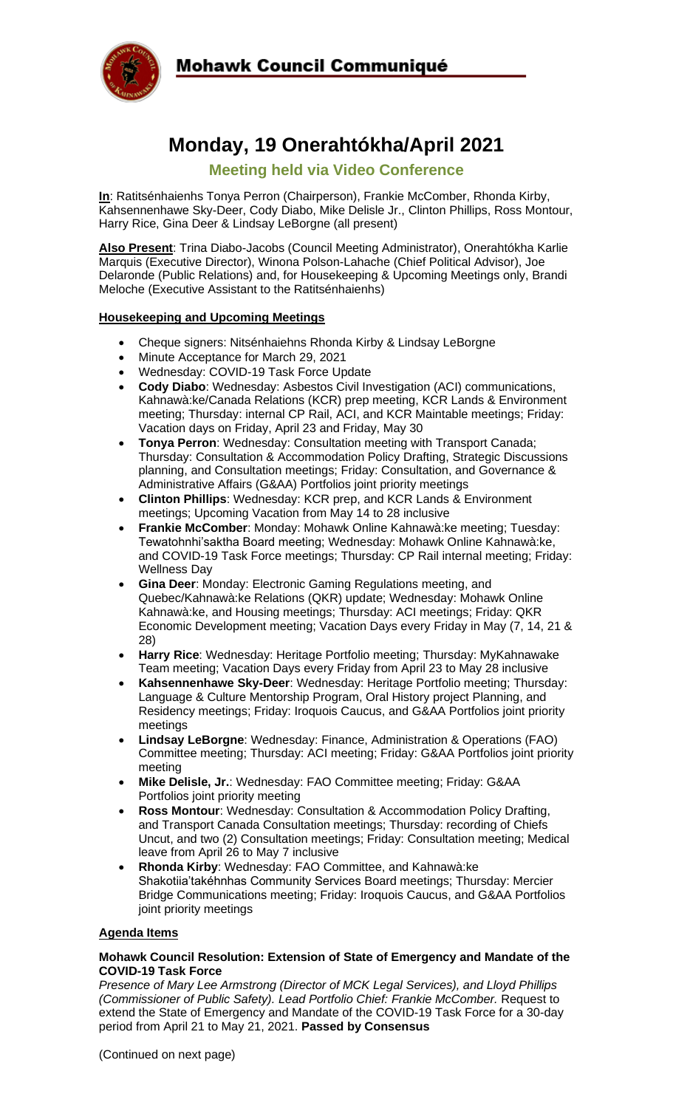

## **Mohawk Council Communiqué**

# **Monday, 19 Onerahtókha/April 2021**

### **Meeting held via Video Conference**

**In**: Ratitsénhaienhs Tonya Perron (Chairperson), Frankie McComber, Rhonda Kirby, Kahsennenhawe Sky-Deer, Cody Diabo, Mike Delisle Jr., Clinton Phillips, Ross Montour, Harry Rice, Gina Deer & Lindsay LeBorgne (all present)

**Also Present**: Trina Diabo-Jacobs (Council Meeting Administrator), Onerahtókha Karlie Marquis (Executive Director), Winona Polson-Lahache (Chief Political Advisor), Joe Delaronde (Public Relations) and, for Housekeeping & Upcoming Meetings only, Brandi Meloche (Executive Assistant to the Ratitsénhaienhs)

#### **Housekeeping and Upcoming Meetings**

- Cheque signers: Nitsénhaiehns Rhonda Kirby & Lindsay LeBorgne
- Minute Acceptance for March 29, 2021
- Wednesday: COVID-19 Task Force Update
- **Cody Diabo**: Wednesday: Asbestos Civil Investigation (ACI) communications, Kahnawà:ke/Canada Relations (KCR) prep meeting, KCR Lands & Environment meeting; Thursday: internal CP Rail, ACI, and KCR Maintable meetings; Friday: Vacation days on Friday, April 23 and Friday, May 30
- **Tonya Perron**: Wednesday: Consultation meeting with Transport Canada; Thursday: Consultation & Accommodation Policy Drafting, Strategic Discussions planning, and Consultation meetings; Friday: Consultation, and Governance & Administrative Affairs (G&AA) Portfolios joint priority meetings
- **Clinton Phillips**: Wednesday: KCR prep, and KCR Lands & Environment meetings; Upcoming Vacation from May 14 to 28 inclusive
- **Frankie McComber**: Monday: Mohawk Online Kahnawà:ke meeting; Tuesday: Tewatohnhi'saktha Board meeting; Wednesday: Mohawk Online Kahnawà:ke, and COVID-19 Task Force meetings; Thursday: CP Rail internal meeting; Friday: Wellness Day
- **Gina Deer**: Monday: Electronic Gaming Regulations meeting, and Quebec/Kahnawà:ke Relations (QKR) update; Wednesday: Mohawk Online Kahnawà:ke, and Housing meetings; Thursday: ACI meetings; Friday: QKR Economic Development meeting; Vacation Days every Friday in May (7, 14, 21 & 28)
- **Harry Rice**: Wednesday: Heritage Portfolio meeting; Thursday: MyKahnawake Team meeting; Vacation Days every Friday from April 23 to May 28 inclusive
- **Kahsennenhawe Sky-Deer**: Wednesday: Heritage Portfolio meeting; Thursday: Language & Culture Mentorship Program, Oral History project Planning, and Residency meetings; Friday: Iroquois Caucus, and G&AA Portfolios joint priority meetings
- **Lindsay LeBorgne**: Wednesday: Finance, Administration & Operations (FAO) Committee meeting; Thursday: ACI meeting; Friday: G&AA Portfolios joint priority meeting
- **Mike Delisle, Jr.**: Wednesday: FAO Committee meeting; Friday: G&AA Portfolios joint priority meeting
- **Ross Montour**: Wednesday: Consultation & Accommodation Policy Drafting, and Transport Canada Consultation meetings; Thursday: recording of Chiefs Uncut, and two (2) Consultation meetings; Friday: Consultation meeting; Medical leave from April 26 to May 7 inclusive
- **Rhonda Kirby**: Wednesday: FAO Committee, and Kahnawà:ke Shakotiia'takéhnhas Community Services Board meetings; Thursday: Mercier Bridge Communications meeting; Friday: Iroquois Caucus, and G&AA Portfolios joint priority meetings

#### **Agenda Items**

#### **Mohawk Council Resolution: Extension of State of Emergency and Mandate of the COVID-19 Task Force**

*Presence of Mary Lee Armstrong (Director of MCK Legal Services), and Lloyd Phillips (Commissioner of Public Safety). Lead Portfolio Chief: Frankie McComber. Request to* extend the State of Emergency and Mandate of the COVID-19 Task Force for a 30-day period from April 21 to May 21, 2021. **Passed by Consensus**